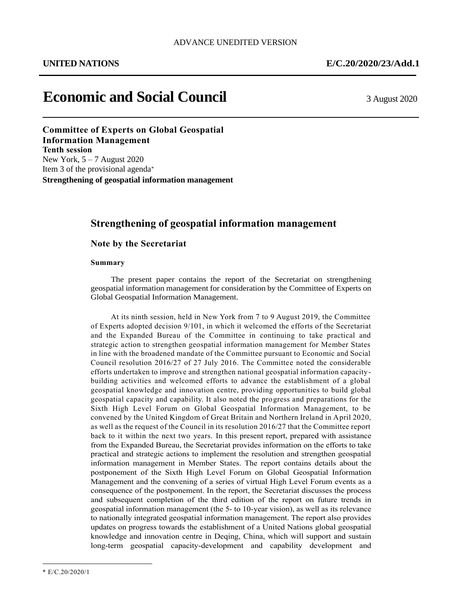# **Economic and Social Council** 3 August 2020

**Committee of Experts on Global Geospatial Information Management Tenth session** New York, 5 – 7 August 2020 Item 3 of the provisional agenda\* **Strengthening of geospatial information management**

# **Strengthening of geospatial information management**

**Note by the Secretariat**

### **Summary**

The present paper contains the report of the Secretariat on strengthening geospatial information management for consideration by the Committee of Experts on Global Geospatial Information Management.

At its ninth session, held in New York from 7 to 9 August 2019, the Committee of Experts adopted decision 9/101, in which it welcomed the efforts of the Secretariat and the Expanded Bureau of the Committee in continuing to take practical and strategic action to strengthen geospatial information management for Member States in line with the broadened mandate of the Committee pursuant to Economic and Social Council resolution 2016/27 of 27 July 2016. The Committee noted the considerable efforts undertaken to improve and strengthen national geospatial information capacitybuilding activities and welcomed efforts to advance the establishment of a global geospatial knowledge and innovation centre, providing opportunities to build global geospatial capacity and capability. It also noted the progress and preparations for the Sixth High Level Forum on Global Geospatial Information Management, to be convened by the United Kingdom of Great Britain and Northern Ireland in April 2020, as well as the request of the Council in its resolution 2016/27 that the Committee report back to it within the next two years. In this present report, prepared with assistance from the Expanded Bureau, the Secretariat provides information on the efforts to take practical and strategic actions to implement the resolution and strengthen geospatial information management in Member States. The report contains details about the postponement of the Sixth High Level Forum on Global Geospatial Information Management and the convening of a series of virtual High Level Forum events as a consequence of the postponement. In the report, the Secretariat discusses the process and subsequent completion of the third edition of the report on future trends in geospatial information management (the 5- to 10-year vision), as well as its relevance to nationally integrated geospatial information management. The report also provides updates on progress towards the establishment of a United Nations global geospatial knowledge and innovation centre in Deqing, China, which will support and sustain long-term geospatial capacity-development and capability development and

 $\overline{a}$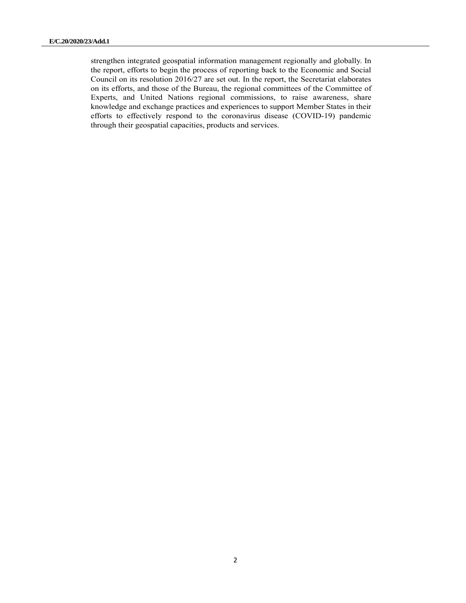strengthen integrated geospatial information management regionally and globally. In the report, efforts to begin the process of reporting back to the Economic and Social Council on its resolution 2016/27 are set out. In the report, the Secretariat elaborates on its efforts, and those of the Bureau, the regional committees of the Committee of Experts, and United Nations regional commissions, to raise awareness, share knowledge and exchange practices and experiences to support Member States in their efforts to effectively respond to the coronavirus disease (COVID-19) pandemic through their geospatial capacities, products and services.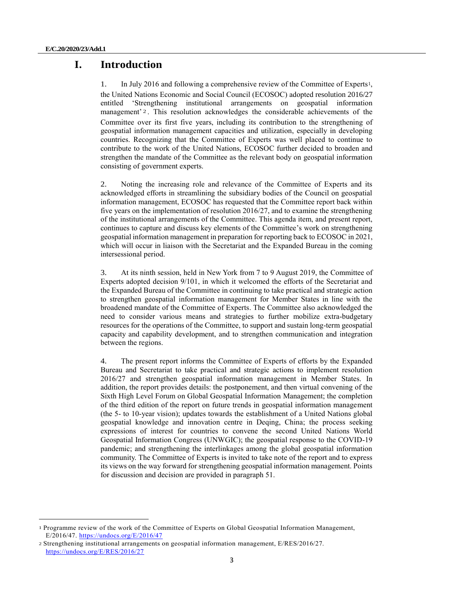# **I. Introduction**

1. In July 2016 and following a comprehensive review of the Committee of Experts1, the United Nations Economic and Social Council (ECOSOC) adopted resolution 2016/27 entitled 'Strengthening institutional arrangements on geospatial information management' 2. This resolution acknowledges the considerable achievements of the Committee over its first five years, including its contribution to the strengthening of geospatial information management capacities and utilization, especially in developing countries. Recognizing that the Committee of Experts was well placed to continue to contribute to the work of the United Nations, ECOSOC further decided to broaden and strengthen the mandate of the Committee as the relevant body on geospatial information consisting of government experts.

2. Noting the increasing role and relevance of the Committee of Experts and its acknowledged efforts in streamlining the subsidiary bodies of the Council on geospatial information management, ECOSOC has requested that the Committee report back within five years on the implementation of resolution 2016/27, and to examine the strengthening of the institutional arrangements of the Committee. This agenda item, and present report, continues to capture and discuss key elements of the Committee's work on strengthening geospatial information management in preparation for reporting back to ECOSOC in 2021, which will occur in liaison with the Secretariat and the Expanded Bureau in the coming intersessional period.

3. At its ninth session, held in New York from 7 to 9 August 2019, the Committee of Experts adopted decision 9/101, in which it welcomed the efforts of the Secretariat and the Expanded Bureau of the Committee in continuing to take practical and strategic action to strengthen geospatial information management for Member States in line with the broadened mandate of the Committee of Experts. The Committee also acknowledged the need to consider various means and strategies to further mobilize extra-budgetary resources for the operations of the Committee, to support and sustain long-term geospatial capacity and capability development, and to strengthen communication and integration between the regions.

4. The present report informs the Committee of Experts of efforts by the Expanded Bureau and Secretariat to take practical and strategic actions to implement resolution 2016/27 and strengthen geospatial information management in Member States. In addition, the report provides details: the postponement, and then virtual convening of the Sixth High Level Forum on Global Geospatial Information Management; the completion of the third edition of the report on future trends in geospatial information management (the 5- to 10-year vision); updates towards the establishment of a United Nations global geospatial knowledge and innovation centre in Deqing, China; the process seeking expressions of interest for countries to convene the second United Nations World Geospatial Information Congress (UNWGIC); the geospatial response to the COVID-19 pandemic; and strengthening the interlinkages among the global geospatial information community. The Committee of Experts is invited to take note of the report and to express its views on the way forward for strengthening geospatial information management. Points for discussion and decision are provided in paragraph 51.

<sup>1</sup> Programme review of the work of the Committee of Experts on Global Geospatial Information Management, E/2016/47.<https://undocs.org/E/2016/47>

<sup>2</sup> Strengthening institutional arrangements on geospatial information management, E/RES/2016/27. <https://undocs.org/E/RES/2016/27>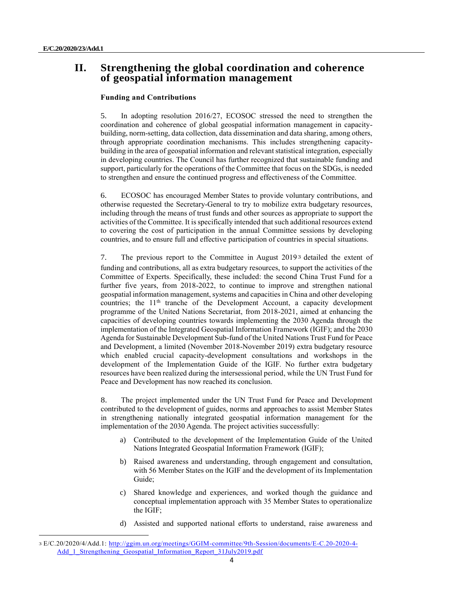# **II. Strengthening the global coordination and coherence of geospatial information management**

### **Funding and Contributions**

5. In adopting resolution 2016/27, ECOSOC stressed the need to strengthen the coordination and coherence of global geospatial information management in capacitybuilding, norm-setting, data collection, data dissemination and data sharing, among others, through appropriate coordination mechanisms. This includes strengthening capacitybuilding in the area of geospatial information and relevant statistical integration, especially in developing countries. The Council has further recognized that sustainable funding and support, particularly for the operations of the Committee that focus on the SDGs, is needed to strengthen and ensure the continued progress and effectiveness of the Committee.

6. ECOSOC has encouraged Member States to provide voluntary contributions, and otherwise requested the Secretary-General to try to mobilize extra budgetary resources, including through the means of trust funds and other sources as appropriate to support the activities of the Committee. It is specifically intended that such additional resources extend to covering the cost of participation in the annual Committee sessions by developing countries, and to ensure full and effective participation of countries in special situations.

7. The previous report to the Committee in August 20193 detailed the extent of funding and contributions, all as extra budgetary resources, to support the activities of the Committee of Experts. Specifically, these included: the second China Trust Fund for a further five years, from 2018-2022, to continue to improve and strengthen national geospatial information management, systems and capacities in China and other developing countries; the  $11<sup>th</sup>$  tranche of the Development Account, a capacity development programme of the United Nations Secretariat, from 2018-2021, aimed at enhancing the capacities of developing countries towards implementing the 2030 Agenda through the implementation of the Integrated Geospatial Information Framework (IGIF); and the 2030 Agenda for Sustainable Development Sub-fund of the United Nations Trust Fund for Peace and Development, a limited (November 2018-November 2019) extra budgetary resource which enabled crucial capacity-development consultations and workshops in the development of the Implementation Guide of the IGIF. No further extra budgetary resources have been realized during the intersessional period, while the UN Trust Fund for Peace and Development has now reached its conclusion.

8. The project implemented under the UN Trust Fund for Peace and Development contributed to the development of guides, norms and approaches to assist Member States in strengthening nationally integrated geospatial information management for the implementation of the 2030 Agenda. The project activities successfully:

- a) Contributed to the development of the Implementation Guide of the United Nations Integrated Geospatial Information Framework (IGIF);
- b) Raised awareness and understanding, through engagement and consultation, with 56 Member States on the IGIF and the development of its Implementation Guide;
- c) Shared knowledge and experiences, and worked though the guidance and conceptual implementation approach with 35 Member States to operationalize the IGIF;
- d) Assisted and supported national efforts to understand, raise awareness and

<sup>3</sup> E/C.20/2020/4/Add.1: [http://ggim.un.org/meetings/GGIM-committee/9th-Session/documents/E-C.20-2020-4-](http://ggim.un.org/meetings/GGIM-committee/9th-Session/documents/E-C.20-2020-4-Add_1_Strengthening_Geospatial_Information_Report_31July2019.pdf) [Add\\_1\\_Strengthening\\_Geospatial\\_Information\\_Report\\_31July2019.pdf](http://ggim.un.org/meetings/GGIM-committee/9th-Session/documents/E-C.20-2020-4-Add_1_Strengthening_Geospatial_Information_Report_31July2019.pdf)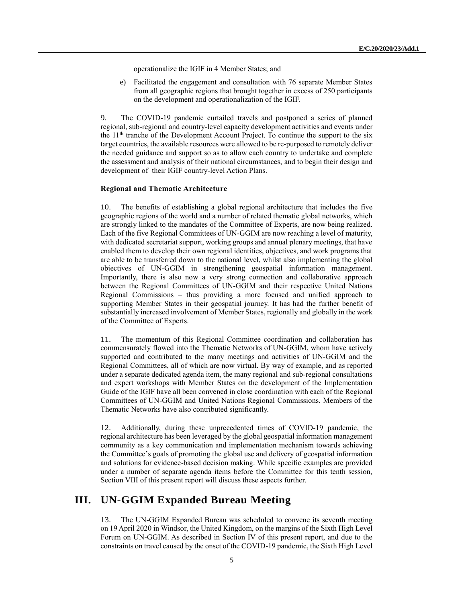operationalize the IGIF in 4 Member States; and

e) Facilitated the engagement and consultation with 76 separate Member States from all geographic regions that brought together in excess of 250 participants on the development and operationalization of the IGIF.

9. The COVID-19 pandemic curtailed travels and postponed a series of planned regional, sub-regional and country-level capacity development activities and events under the  $11<sup>th</sup>$  tranche of the Development Account Project. To continue the support to the six target countries, the available resources were allowed to be re-purposed to remotely deliver the needed guidance and support so as to allow each country to undertake and complete the assessment and analysis of their national circumstances, and to begin their design and development of their IGIF country-level Action Plans.

### **Regional and Thematic Architecture**

10. The benefits of establishing a global regional architecture that includes the five geographic regions of the world and a number of related thematic global networks, which are strongly linked to the mandates of the Committee of Experts, are now being realized. Each of the five Regional Committees of UN-GGIM are now reaching a level of maturity, with dedicated secretariat support, working groups and annual plenary meetings, that have enabled them to develop their own regional identities, objectives, and work programs that are able to be transferred down to the national level, whilst also implementing the global objectives of UN-GGIM in strengthening geospatial information management. Importantly, there is also now a very strong connection and collaborative approach between the Regional Committees of UN-GGIM and their respective United Nations Regional Commissions – thus providing a more focused and unified approach to supporting Member States in their geospatial journey. It has had the further benefit of substantially increased involvement of Member States, regionally and globally in the work of the Committee of Experts.

11. The momentum of this Regional Committee coordination and collaboration has commensurately flowed into the Thematic Networks of UN-GGIM, whom have actively supported and contributed to the many meetings and activities of UN-GGIM and the Regional Committees, all of which are now virtual. By way of example, and as reported under a separate dedicated agenda item, the many regional and sub-regional consultations and expert workshops with Member States on the development of the Implementation Guide of the IGIF have all been convened in close coordination with each of the Regional Committees of UN-GGIM and United Nations Regional Commissions. Members of the Thematic Networks have also contributed significantly.

12. Additionally, during these unprecedented times of COVID-19 pandemic, the regional architecture has been leveraged by the global geospatial information management community as a key communication and implementation mechanism towards achieving the Committee's goals of promoting the global use and delivery of geospatial information and solutions for evidence-based decision making. While specific examples are provided under a number of separate agenda items before the Committee for this tenth session, Section VIII of this present report will discuss these aspects further.

## **III. UN-GGIM Expanded Bureau Meeting**

13. The UN-GGIM Expanded Bureau was scheduled to convene its seventh meeting on 19 April 2020 in Windsor, the United Kingdom, on the margins of the Sixth High Level Forum on UN-GGIM. As described in Section IV of this present report, and due to the constraints on travel caused by the onset of the COVID-19 pandemic, the Sixth High Level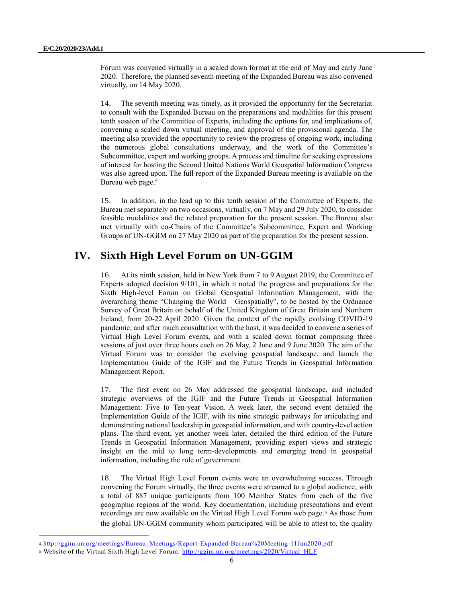Forum was convened virtually in a scaled down format at the end of May and early June 2020. Therefore, the planned seventh meeting of the Expanded Bureau was also convened virtually, on 14 May 2020.

14. The seventh meeting was timely, as it provided the opportunity for the Secretariat to consult with the Expanded Bureau on the preparations and modalities for this present tenth session of the Committee of Experts, including the options for, and implications of, convening a scaled down virtual meeting, and approval of the provisional agenda. The meeting also provided the opportunity to review the progress of ongoing work, including the numerous global consultations underway, and the work of the Committee's Subcommittee, expert and working groups. A process and timeline for seeking expressions of interest for hosting the Second United Nations World Geospatial Information Congress was also agreed upon. The full report of the Expanded Bureau meeting is available on the Bureau web page. 4

15. In addition, in the lead up to this tenth session of the Committee of Experts, the Bureau met separately on two occasions, virtually, on 7 May and 29 July 2020, to consider feasible modalities and the related preparation for the present session. The Bureau also met virtually with co-Chairs of the Committee's Subcommittee, Expert and Working Groups of UN-GGIM on 27 May 2020 as part of the preparation for the present session.

# **IV. Sixth High Level Forum on UN-GGIM**

16. At its ninth session, held in New York from 7 to 9 August 2019, the Committee of Experts adopted decision 9/101, in which it noted the progress and preparations for the Sixth High-level Forum on Global Geospatial Information Management, with the overarching theme "Changing the World – Geospatially", to be hosted by the Ordnance Survey of Great Britain on behalf of the United Kingdom of Great Britain and Northern Ireland, from 20-22 April 2020. Given the context of the rapidly evolving COVID-19 pandemic, and after much consultation with the host, it was decided to convene a series of Virtual High Level Forum events, and with a scaled down format comprising three sessions of just over three hours each on 26 May, 2 June and 9 June 2020. The aim of the Virtual Forum was to consider the evolving geospatial landscape, and launch the Implementation Guide of the IGIF and the Future Trends in Geospatial Information Management Report.

17. The first event on 26 May addressed the geospatial landscape, and included strategic overviews of the IGIF and the Future Trends in Geospatial Information Management: Five to Ten-year Vision. A week later, the second event detailed the Implementation Guide of the IGIF, with its nine strategic pathways for articulating and demonstrating national leadership in geospatial information, and with country-level action plans. The third event, yet another week later, detailed the third edition of the Future Trends in Geospatial Information Management, providing expert views and strategic insight on the mid to long term-developments and emerging trend in geospatial information, including the role of government.

18. The Virtual High Level Forum events were an overwhelming success. Through convening the Forum virtually, the three events were streamed to a global audience, with a total of 887 unique participants from 100 Member States from each of the five geographic regions of the world. Key documentation, including presentations and event recordings are now available on the Virtual High Level Forum web page.5 As those from the global UN-GGIM community whom participated will be able to attest to, the quality

<sup>4</sup> [http://ggim.un.org/meetings/Bureau\\_Meetings/Report-Expanded-Bureau%20Meeting-11Jun2020.pdf](http://ggim.un.org/meetings/Bureau_Meetings/Report-Expanded-Bureau%20Meeting-11Jun2020.pdf)

<sup>5</sup> Website of the Virtual Sixth High Level Forum: [http://ggim.un.org/meetings/2020/Virtual\\_HLF](http://ggim.un.org/meetings/2020/Virtual_HLF)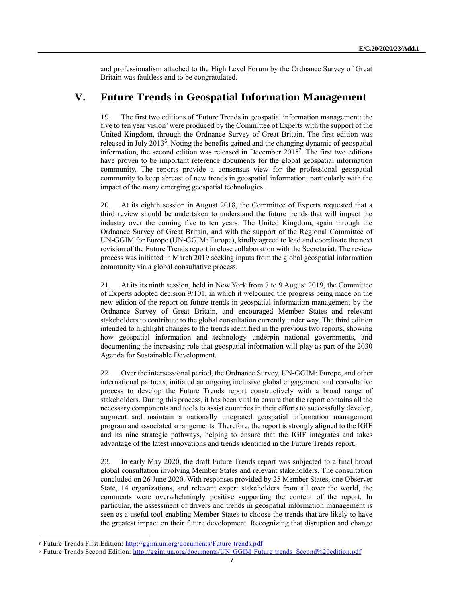and professionalism attached to the High Level Forum by the Ordnance Survey of Great Britain was faultless and to be congratulated.

## **V. Future Trends in Geospatial Information Management**

19. The first two editions of 'Future Trends in geospatial information management: the five to ten year vision' were produced by the Committee of Experts with the support of the United Kingdom, through the Ordnance Survey of Great Britain. The first edition was released in July 2013<sup>6</sup>. Noting the benefits gained and the changing dynamic of geospatial information, the second edition was released in December 2015<sup>7</sup> . The first two editions have proven to be important reference documents for the global geospatial information community. The reports provide a consensus view for the professional geospatial community to keep abreast of new trends in geospatial information; particularly with the impact of the many emerging geospatial technologies.

20. At its eighth session in August 2018, the Committee of Experts requested that a third review should be undertaken to understand the future trends that will impact the industry over the coming five to ten years. The United Kingdom, again through the Ordnance Survey of Great Britain, and with the support of the Regional Committee of UN-GGIM for Europe (UN-GGIM: Europe), kindly agreed to lead and coordinate the next revision of the Future Trends report in close collaboration with the Secretariat. The review process was initiated in March 2019 seeking inputs from the global geospatial information community via a global consultative process.

21. At its its ninth session, held in New York from 7 to 9 August 2019, the Committee of Experts adopted decision 9/101, in which it welcomed the progress being made on the new edition of the report on future trends in geospatial information management by the Ordnance Survey of Great Britain, and encouraged Member States and relevant stakeholders to contribute to the global consultation currently under way. The third edition intended to highlight changes to the trends identified in the previous two reports, showing how geospatial information and technology underpin national governments, and documenting the increasing role that geospatial information will play as part of the 2030 Agenda for Sustainable Development.

22. Over the intersessional period, the Ordnance Survey, UN-GGIM: Europe, and other international partners, initiated an ongoing inclusive global engagement and consultative process to develop the Future Trends report constructively with a broad range of stakeholders. During this process, it has been vital to ensure that the report contains all the necessary components and tools to assist countries in their efforts to successfully develop, augment and maintain a nationally integrated geospatial information management program and associated arrangements. Therefore, the report is strongly aligned to the IGIF and its nine strategic pathways, helping to ensure that the IGIF integrates and takes advantage of the latest innovations and trends identified in the Future Trends report.

23. In early May 2020, the draft Future Trends report was subjected to a final broad global consultation involving Member States and relevant stakeholders. The consultation concluded on 26 June 2020. With responses provided by 25 Member States, one Observer State, 14 organizations, and relevant expert stakeholders from all over the world, the comments were overwhelmingly positive supporting the content of the report. In particular, the assessment of drivers and trends in geospatial information management is seen as a useful tool enabling Member States to choose the trends that are likely to have the greatest impact on their future development. Recognizing that disruption and change

<sup>6</sup> Future Trends First Edition:<http://ggim.un.org/documents/Future-trends.pdf>

<sup>7</sup> Future Trends Second Edition: [http://ggim.un.org/documents/UN-GGIM-Future-trends\\_Second%20edition.pdf](http://ggim.un.org/documents/UN-GGIM-Future-trends_Second%20edition.pdf)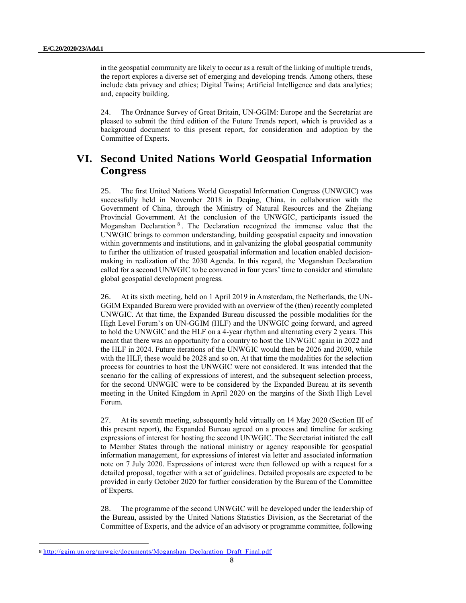in the geospatial community are likely to occur as a result of the linking of multiple trends, the report explores a diverse set of emerging and developing trends. Among others, these include data privacy and ethics; Digital Twins; Artificial Intelligence and data analytics; and, capacity building.

24. The Ordnance Survey of Great Britain, UN-GGIM: Europe and the Secretariat are pleased to submit the third edition of the Future Trends report, which is provided as a background document to this present report, for consideration and adoption by the Committee of Experts.

# **VI. Second United Nations World Geospatial Information Congress**

25. The first United Nations World Geospatial Information Congress (UNWGIC) was successfully held in November 2018 in Deqing, China, in collaboration with the Government of China, through the Ministry of Natural Resources and the Zhejiang Provincial Government. At the conclusion of the UNWGIC, participants issued the Moganshan Declaration<sup>8</sup>. The Declaration recognized the immense value that the UNWGIC brings to common understanding, building geospatial capacity and innovation within governments and institutions, and in galvanizing the global geospatial community to further the utilization of trusted geospatial information and location enabled decisionmaking in realization of the 2030 Agenda. In this regard, the Moganshan Declaration called for a second UNWGIC to be convened in four years' time to consider and stimulate global geospatial development progress.

26. At its sixth meeting, held on 1 April 2019 in Amsterdam, the Netherlands, the UN-GGIM Expanded Bureau were provided with an overview of the (then) recently completed UNWGIC. At that time, the Expanded Bureau discussed the possible modalities for the High Level Forum's on UN-GGIM (HLF) and the UNWGIC going forward, and agreed to hold the UNWGIC and the HLF on a 4-year rhythm and alternating every 2 years. This meant that there was an opportunity for a country to host the UNWGIC again in 2022 and the HLF in 2024. Future iterations of the UNWGIC would then be 2026 and 2030, while with the HLF, these would be 2028 and so on. At that time the modalities for the selection process for countries to host the UNWGIC were not considered. It was intended that the scenario for the calling of expressions of interest, and the subsequent selection process, for the second UNWGIC were to be considered by the Expanded Bureau at its seventh meeting in the United Kingdom in April 2020 on the margins of the Sixth High Level Forum.

27. At its seventh meeting, subsequently held virtually on 14 May 2020 (Section III of this present report), the Expanded Bureau agreed on a process and timeline for seeking expressions of interest for hosting the second UNWGIC. The Secretariat initiated the call to Member States through the national ministry or agency responsible for geospatial information management, for expressions of interest via letter and associated information note on 7 July 2020. Expressions of interest were then followed up with a request for a detailed proposal, together with a set of guidelines. Detailed proposals are expected to be provided in early October 2020 for further consideration by the Bureau of the Committee of Experts.

28. The programme of the second UNWGIC will be developed under the leadership of the Bureau, assisted by the United Nations Statistics Division, as the Secretariat of the Committee of Experts, and the advice of an advisory or programme committee, following

<sup>8</sup> [http://ggim.un.org/unwgic/documents/Moganshan\\_Declaration\\_Draft\\_Final.pdf](http://ggim.un.org/unwgic/documents/Moganshan_Declaration_Draft_Final.pdf)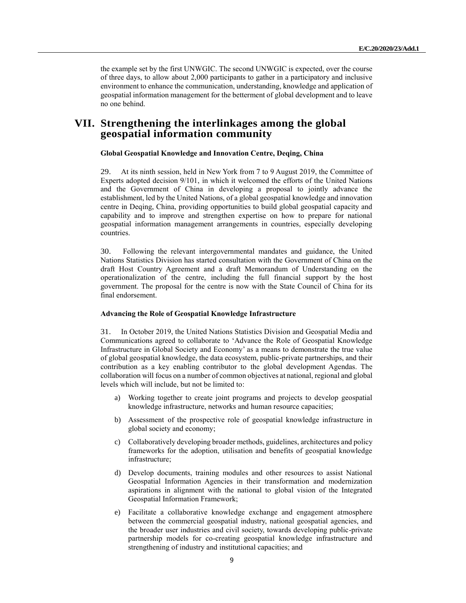the example set by the first UNWGIC. The second UNWGIC is expected, over the course of three days, to allow about 2,000 participants to gather in a participatory and inclusive environment to enhance the communication, understanding, knowledge and application of geospatial information management for the betterment of global development and to leave no one behind.

### **VII. Strengthening the interlinkages among the global geospatial information community**

#### **Global Geospatial Knowledge and Innovation Centre, Deqing, China**

29. At its ninth session, held in New York from 7 to 9 August 2019, the Committee of Experts adopted decision 9/101, in which it welcomed the efforts of the United Nations and the Government of China in developing a proposal to jointly advance the establishment, led by the United Nations, of a global geospatial knowledge and innovation centre in Deqing, China, providing opportunities to build global geospatial capacity and capability and to improve and strengthen expertise on how to prepare for national geospatial information management arrangements in countries, especially developing countries.

30. Following the relevant intergovernmental mandates and guidance, the United Nations Statistics Division has started consultation with the Government of China on the draft Host Country Agreement and a draft Memorandum of Understanding on the operationalization of the centre, including the full financial support by the host government. The proposal for the centre is now with the State Council of China for its final endorsement.

#### **Advancing the Role of Geospatial Knowledge Infrastructure**

31. In October 2019, the United Nations Statistics Division and Geospatial Media and Communications agreed to collaborate to 'Advance the Role of Geospatial Knowledge Infrastructure in Global Society and Economy' as a means to demonstrate the true value of global geospatial knowledge, the data ecosystem, public-private partnerships, and their contribution as a key enabling contributor to the global development Agendas. The collaboration will focus on a number of common objectives at national, regional and global levels which will include, but not be limited to:

- Working together to create joint programs and projects to develop geospatial knowledge infrastructure, networks and human resource capacities;
- b) Assessment of the prospective role of geospatial knowledge infrastructure in global society and economy;
- c) Collaboratively developing broader methods, guidelines, architectures and policy frameworks for the adoption, utilisation and benefits of geospatial knowledge infrastructure;
- d) Develop documents, training modules and other resources to assist National Geospatial Information Agencies in their transformation and modernization aspirations in alignment with the national to global vision of the Integrated Geospatial Information Framework;
- e) Facilitate a collaborative knowledge exchange and engagement atmosphere between the commercial geospatial industry, national geospatial agencies, and the broader user industries and civil society, towards developing public-private partnership models for co-creating geospatial knowledge infrastructure and strengthening of industry and institutional capacities; and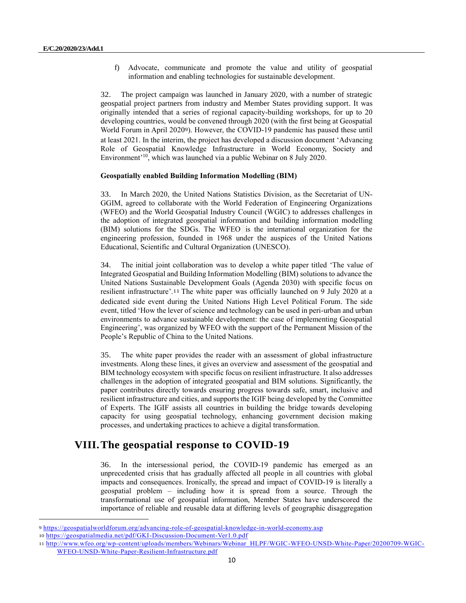f) Advocate, communicate and promote the value and utility of geospatial information and enabling technologies for sustainable development.

32. The project campaign was launched in January 2020, with a number of strategic geospatial project partners from industry and Member States providing support. It was originally intended that a series of regional capacity-building workshops, for up to 20 developing countries, would be convened through 2020 (with the first being at Geospatial World Forum in April 20209). However, the COVID-19 pandemic has paused these until at least 2021. In the interim, the project has developed a discussion document 'Advancing Role of Geospatial Knowledge Infrastructure in World Economy, Society and Environment' <sup>10</sup>, which was launched via a public Webinar on 8 July 2020.

### **Geospatially enabled Building Information Modelling (BIM)**

33. In March 2020, the United Nations Statistics Division, as the Secretariat of UN-GGIM, agreed to collaborate with the World Federation of Engineering Organizations (WFEO) and the World Geospatial Industry Council (WGIC) to addresses challenges in the adoption of integrated geospatial information and building information modelling (BIM) solutions for the SDGs. The WFEO is the international organization for the engineering profession, founded in 1968 under the auspices of the United Nations Educational, Scientific and Cultural Organization (UNESCO).

34. The initial joint collaboration was to develop a white paper titled 'The value of Integrated Geospatial and Building Information Modelling (BIM) solutions to advance the United Nations Sustainable Development Goals (Agenda 2030) with specific focus on resilient infrastructure'.11 The white paper was officially launched on 9 July 2020 at a dedicated side event during the United Nations High Level Political Forum. The side event, titled 'How the lever of science and technology can be used in peri-urban and urban environments to advance sustainable development: the case of implementing Geospatial Engineering', was organized by WFEO with the support of the Permanent Mission of the People's Republic of China to the United Nations.

35. The white paper provides the reader with an assessment of global infrastructure investments. Along these lines, it gives an overview and assessment of the geospatial and BIM technology ecosystem with specific focus on resilient infrastructure. It also addresses challenges in the adoption of integrated geospatial and BIM solutions. Significantly, the paper contributes directly towards ensuring progress towards safe, smart, inclusive and resilient infrastructure and cities, and supports the IGIF being developed by the Committee of Experts. The IGIF assists all countries in building the bridge towards developing capacity for using geospatial technology, enhancing government decision making processes, and undertaking practices to achieve a digital transformation.

# **VIII.The geospatial response to COVID-19**

36. In the intersessional period, the COVID-19 pandemic has emerged as an unprecedented crisis that has gradually affected all people in all countries with global impacts and consequences. Ironically, the spread and impact of COVID-19 is literally a geospatial problem – including how it is spread from a source. Through the transformational use of geospatial information, Member States have underscored the importance of reliable and reusable data at differing levels of geographic disaggregation

<sup>9</sup> <https://geospatialworldforum.org/advancing-role-of-geospatial-knowledge-in-world-economy.asp>

<sup>10</sup> <https://geospatialmedia.net/pdf/GKI-Discussion-Document-Ver1.0.pdf>

<sup>11</sup> [http://www.wfeo.org/wp-content/uploads/members/Webinars/Webinar\\_HLPF/WGIC-WFEO-UNSD-White-Paper/20200709-WGIC-](http://www.wfeo.org/wp-content/uploads/members/Webinars/Webinar_HLPF/WGIC-WFEO-UNSD-White-Paper/20200709-WGIC-WFEO-UNSD-White-Paper-Resilient-Infrastructure.pdf)[WFEO-UNSD-White-Paper-Resilient-Infrastructure.pdf](http://www.wfeo.org/wp-content/uploads/members/Webinars/Webinar_HLPF/WGIC-WFEO-UNSD-White-Paper/20200709-WGIC-WFEO-UNSD-White-Paper-Resilient-Infrastructure.pdf)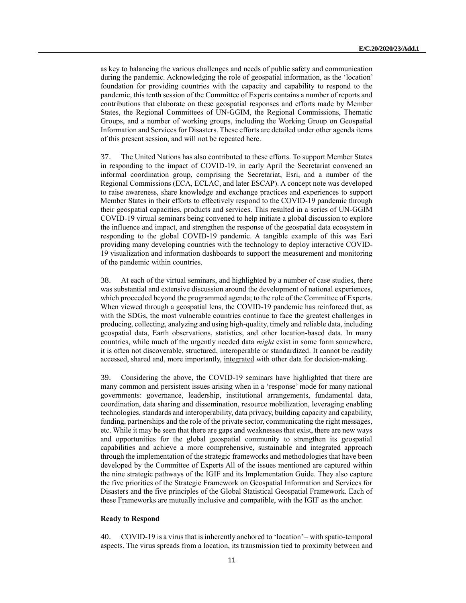as key to balancing the various challenges and needs of public safety and communication during the pandemic. Acknowledging the role of geospatial information, as the 'location' foundation for providing countries with the capacity and capability to respond to the pandemic, this tenth session of the Committee of Experts contains a number of reports and contributions that elaborate on these geospatial responses and efforts made by Member States, the Regional Committees of UN-GGIM, the Regional Commissions, Thematic Groups, and a number of working groups, including the Working Group on Geospatial Information and Services for Disasters. These efforts are detailed under other agenda items of this present session, and will not be repeated here.

37. The United Nations has also contributed to these efforts. To support Member States in responding to the impact of COVID-19, in early April the Secretariat convened an informal coordination group, comprising the Secretariat, Esri, and a number of the Regional Commissions (ECA, ECLAC, and later ESCAP). A concept note was developed to raise awareness, share knowledge and exchange practices and experiences to support Member States in their efforts to effectively respond to the COVID-19 pandemic through their geospatial capacities, products and services. This resulted in a series of UN-GGIM COVID-19 virtual seminars being convened to help initiate a global discussion to explore the influence and impact, and strengthen the response of the geospatial data ecosystem in responding to the global COVID-19 pandemic. A tangible example of this was Esri providing many developing countries with the technology to deploy interactive COVID-19 visualization and information dashboards to support the measurement and monitoring of the pandemic within countries.

38. At each of the virtual seminars, and highlighted by a number of case studies, there was substantial and extensive discussion around the development of national experiences, which proceeded beyond the programmed agenda; to the role of the Committee of Experts. When viewed through a geospatial lens, the COVID-19 pandemic has reinforced that, as with the SDGs, the most vulnerable countries continue to face the greatest challenges in producing, collecting, analyzing and using high-quality, timely and reliable data, including geospatial data, Earth observations, statistics, and other location-based data. In many countries, while much of the urgently needed data *might* exist in some form somewhere, it is often not discoverable, structured, interoperable or standardized. It cannot be readily accessed, shared and, more importantly, integrated with other data for decision-making.

39. Considering the above, the COVID-19 seminars have highlighted that there are many common and persistent issues arising when in a 'response' mode for many national governments: governance, leadership, institutional arrangements, fundamental data, coordination, data sharing and dissemination, resource mobilization, leveraging enabling technologies, standards and interoperability, data privacy, building capacity and capability, funding, partnerships and the role of the private sector, communicating the right messages, etc. While it may be seen that there are gaps and weaknesses that exist, there are new ways and opportunities for the global geospatial community to strengthen its geospatial capabilities and achieve a more comprehensive, sustainable and integrated approach through the implementation of the strategic frameworks and methodologies that have been developed by the Committee of Experts All of the issues mentioned are captured within the nine strategic pathways of the IGIF and its Implementation Guide. They also capture the five priorities of the Strategic Framework on Geospatial Information and Services for Disasters and the five principles of the Global Statistical Geospatial Framework. Each of these Frameworks are mutually inclusive and compatible, with the IGIF as the anchor.

#### **Ready to Respond**

40. COVID-19 is a virus that is inherently anchored to 'location' – with spatio-temporal aspects. The virus spreads from a location, its transmission tied to proximity between and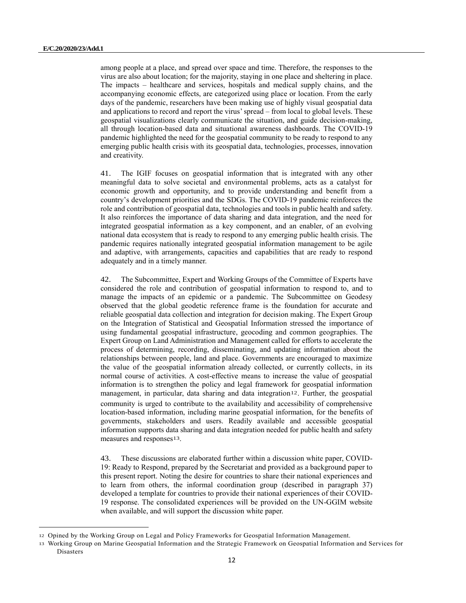among people at a place, and spread over space and time. Therefore, the responses to the virus are also about location; for the majority, staying in one place and sheltering in place. The impacts – healthcare and services, hospitals and medical supply chains, and the accompanying economic effects, are categorized using place or location. From the early days of the pandemic, researchers have been making use of highly visual geospatial data and applications to record and report the virus' spread – from local to global levels. These geospatial visualizations clearly communicate the situation, and guide decision-making, all through location-based data and situational awareness dashboards. The COVID-19 pandemic highlighted the need for the geospatial community to be ready to respond to any emerging public health crisis with its geospatial data, technologies, processes, innovation and creativity.

41. The IGIF focuses on geospatial information that is integrated with any other meaningful data to solve societal and environmental problems, acts as a catalyst for economic growth and opportunity, and to provide understanding and benefit from a country's development priorities and the SDGs. The COVID-19 pandemic reinforces the role and contribution of geospatial data, technologies and tools in public health and safety. It also reinforces the importance of data sharing and data integration, and the need for integrated geospatial information as a key component, and an enabler, of an evolving national data ecosystem that is ready to respond to any emerging public health crisis. The pandemic requires nationally integrated geospatial information management to be agile and adaptive, with arrangements, capacities and capabilities that are ready to respond adequately and in a timely manner.

42. The Subcommittee, Expert and Working Groups of the Committee of Experts have considered the role and contribution of geospatial information to respond to, and to manage the impacts of an epidemic or a pandemic. The Subcommittee on Geodesy observed that the global geodetic reference frame is the foundation for accurate and reliable geospatial data collection and integration for decision making. The Expert Group on the Integration of Statistical and Geospatial Information stressed the importance of using fundamental geospatial infrastructure, geocoding and common geographies. The Expert Group on Land Administration and Management called for efforts to accelerate the process of determining, recording, disseminating, and updating information about the relationships between people, land and place. Governments are encouraged to maximize the value of the geospatial information already collected, or currently collects, in its normal course of activities. A cost-effective means to increase the value of geospatial information is to strengthen the policy and legal framework for geospatial information management, in particular, data sharing and data integration<sup>12</sup>. Further, the geospatial community is urged to contribute to the availability and accessibility of comprehensive location-based information, including marine geospatial information, for the benefits of governments, stakeholders and users. Readily available and accessible geospatial information supports data sharing and data integration needed for public health and safety measures and responses13.

43. These discussions are elaborated further within a discussion white paper, COVID-19: Ready to Respond, prepared by the Secretariat and provided as a background paper to this present report. Noting the desire for countries to share their national experiences and to learn from others, the informal coordination group (described in paragraph 37) developed a template for countries to provide their national experiences of their COVID-19 response. The consolidated experiences will be provided on the UN-GGIM website when available, and will support the discussion white paper.

<sup>12</sup> Opined by the Working Group on Legal and Policy Frameworks for Geospatial Information Management.

<sup>13</sup> Working Group on Marine Geospatial Information and the Strategic Framework on Geospatial Information and Services for Disasters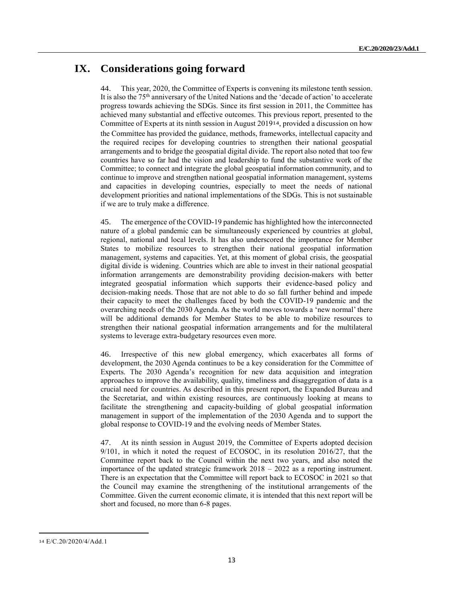# **IX. Considerations going forward**

44. This year, 2020, the Committee of Experts is convening its milestone tenth session. It is also the 75th anniversary of the United Nations and the 'decade of action' to accelerate progress towards achieving the SDGs. Since its first session in 2011, the Committee has achieved many substantial and effective outcomes. This previous report, presented to the Committee of Experts at its ninth session in August 201914, provided a discussion on how the Committee has provided the guidance, methods, frameworks, intellectual capacity and the required recipes for developing countries to strengthen their national geospatial arrangements and to bridge the geospatial digital divide. The report also noted that too few countries have so far had the vision and leadership to fund the substantive work of the Committee; to connect and integrate the global geospatial information community, and to continue to improve and strengthen national geospatial information management, systems and capacities in developing countries, especially to meet the needs of national development priorities and national implementations of the SDGs. This is not sustainable if we are to truly make a difference.

45. The emergence of the COVID-19 pandemic has highlighted how the interconnected nature of a global pandemic can be simultaneously experienced by countries at global, regional, national and local levels. It has also underscored the importance for Member States to mobilize resources to strengthen their national geospatial information management, systems and capacities. Yet, at this moment of global crisis, the geospatial digital divide is widening. Countries which are able to invest in their national geospatial information arrangements are demonstrability providing decision-makers with better integrated geospatial information which supports their evidence-based policy and decision-making needs. Those that are not able to do so fall further behind and impede their capacity to meet the challenges faced by both the COVID-19 pandemic and the overarching needs of the 2030 Agenda. As the world moves towards a 'new normal'there will be additional demands for Member States to be able to mobilize resources to strengthen their national geospatial information arrangements and for the multilateral systems to leverage extra-budgetary resources even more.

46. Irrespective of this new global emergency, which exacerbates all forms of development, the 2030 Agenda continues to be a key consideration for the Committee of Experts. The 2030 Agenda's recognition for new data acquisition and integration approaches to improve the availability, quality, timeliness and disaggregation of data is a crucial need for countries. As described in this present report, the Expanded Bureau and the Secretariat, and within existing resources, are continuously looking at means to facilitate the strengthening and capacity-building of global geospatial information management in support of the implementation of the 2030 Agenda and to support the global response to COVID-19 and the evolving needs of Member States.

47. At its ninth session in August 2019, the Committee of Experts adopted decision 9/101, in which it noted the request of ECOSOC, in its resolution 2016/27, that the Committee report back to the Council within the next two years, and also noted the importance of the updated strategic framework 2018 – 2022 as a reporting instrument. There is an expectation that the Committee will report back to ECOSOC in 2021 so that the Council may examine the strengthening of the institutional arrangements of the Committee. Given the current economic climate, it is intended that this next report will be short and focused, no more than 6-8 pages.

<sup>14</sup> E/C.20/2020/4/Add.1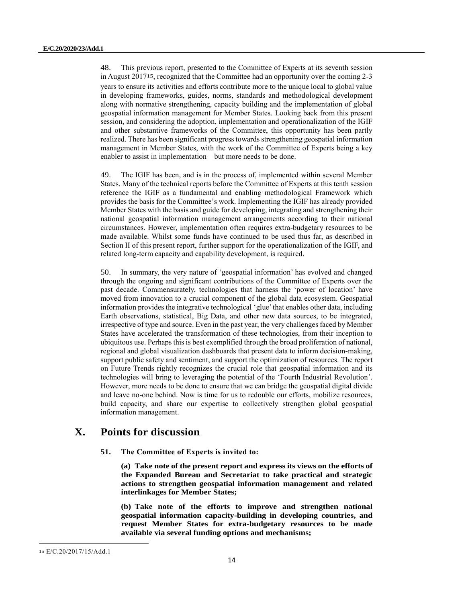48. This previous report, presented to the Committee of Experts at its seventh session in August 201715, recognized that the Committee had an opportunity over the coming 2-3 years to ensure its activities and efforts contribute more to the unique local to global value in developing frameworks, guides, norms, standards and methodological development along with normative strengthening, capacity building and the implementation of global geospatial information management for Member States. Looking back from this present session, and considering the adoption, implementation and operationalization of the IGIF and other substantive frameworks of the Committee, this opportunity has been partly realized. There has been significant progress towards strengthening geospatial information management in Member States, with the work of the Committee of Experts being a key enabler to assist in implementation – but more needs to be done.

49. The IGIF has been, and is in the process of, implemented within several Member States. Many of the technical reports before the Committee of Experts at this tenth session reference the IGIF as a fundamental and enabling methodological Framework which provides the basis for the Committee's work. Implementing the IGIF has already provided Member States with the basis and guide for developing, integrating and strengthening their national geospatial information management arrangements according to their national circumstances. However, implementation often requires extra-budgetary resources to be made available. Whilst some funds have continued to be used thus far, as described in Section II of this present report, further support for the operationalization of the IGIF, and related long-term capacity and capability development, is required.

50. In summary, the very nature of 'geospatial information' has evolved and changed through the ongoing and significant contributions of the Committee of Experts over the past decade. Commensurately, technologies that harness the 'power of location' have moved from innovation to a crucial component of the global data ecosystem. Geospatial information provides the integrative technological 'glue' that enables other data, including Earth observations, statistical, Big Data, and other new data sources, to be integrated, irrespective of type and source. Even in the past year, the very challenges faced by Member States have accelerated the transformation of these technologies, from their inception to ubiquitous use. Perhaps this is best exemplified through the broad proliferation of national, regional and global visualization dashboards that present data to inform decision-making, support public safety and sentiment, and support the optimization of resources. The report on Future Trends rightly recognizes the crucial role that geospatial information and its technologies will bring to leveraging the potential of the 'Fourth Industrial Revolution'. However, more needs to be done to ensure that we can bridge the geospatial digital divide and leave no-one behind. Now is time for us to redouble our efforts, mobilize resources, build capacity, and share our expertise to collectively strengthen global geospatial information management.

# **X. Points for discussion**

**51. The Committee of Experts is invited to:** 

**(a) Take note of the present report and express its views on the efforts of the Expanded Bureau and Secretariat to take practical and strategic actions to strengthen geospatial information management and related interlinkages for Member States;**

**(b) Take note of the efforts to improve and strengthen national geospatial information capacity-building in developing countries, and request Member States for extra-budgetary resources to be made available via several funding options and mechanisms;**

<sup>15</sup> E/C.20/2017/15/Add.1